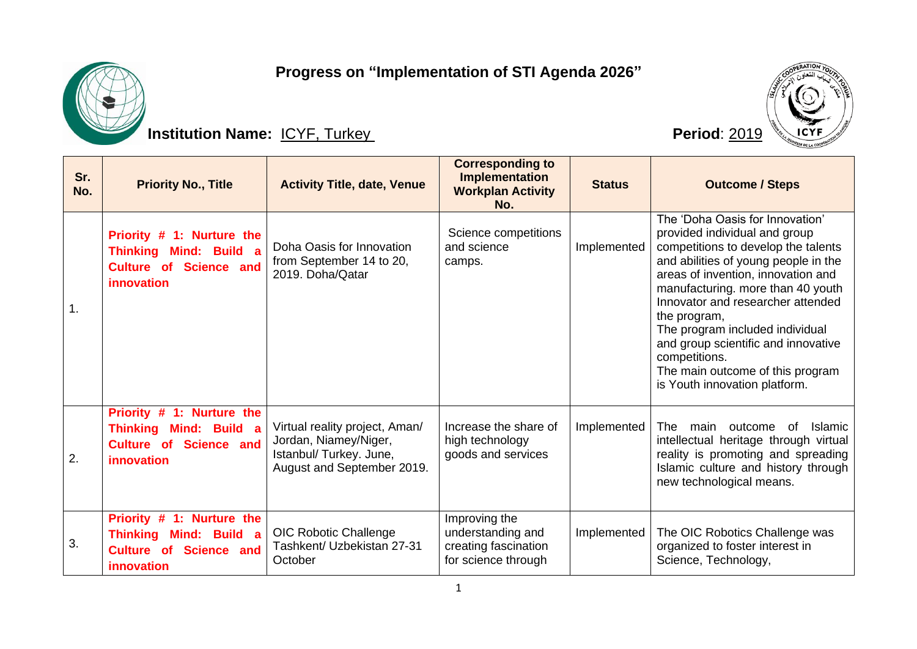## **Progress on "Implementation of STI Agenda 2026"**



## **Institution Name:** ICYF, Turkey **Period: 2019**



| Sr.<br>No.     | <b>Priority No., Title</b>                                                                                      | <b>Activity Title, date, Venue</b>                                                                               | <b>Corresponding to</b><br><b>Implementation</b><br><b>Workplan Activity</b><br>No. | <b>Status</b> | <b>Outcome / Steps</b>                                                                                                                                                                                                                                                                                                                                                                                                                          |
|----------------|-----------------------------------------------------------------------------------------------------------------|------------------------------------------------------------------------------------------------------------------|-------------------------------------------------------------------------------------|---------------|-------------------------------------------------------------------------------------------------------------------------------------------------------------------------------------------------------------------------------------------------------------------------------------------------------------------------------------------------------------------------------------------------------------------------------------------------|
| $\mathbf{1}$ . | Priority # 1: Nurture the<br>Thinking Mind: Build a<br><b>Culture of Science and</b><br>innovation              | Doha Oasis for Innovation<br>from September 14 to 20,<br>2019. Doha/Qatar                                        | Science competitions<br>and science<br>camps.                                       | Implemented   | The 'Doha Oasis for Innovation'<br>provided individual and group<br>competitions to develop the talents<br>and abilities of young people in the<br>areas of invention, innovation and<br>manufacturing. more than 40 youth<br>Innovator and researcher attended<br>the program,<br>The program included individual<br>and group scientific and innovative<br>competitions.<br>The main outcome of this program<br>is Youth innovation platform. |
| 2.             | Priority # 1: Nurture the<br><b>Thinking Mind: Build a</b><br>Science and<br><b>Culture of</b><br>innovation    | Virtual reality project, Aman/<br>Jordan, Niamey/Niger,<br>Istanbul/ Turkey. June,<br>August and September 2019. | Increase the share of<br>high technology<br>goods and services                      | Implemented   | The<br><b>Islamic</b><br>outcome<br>0f<br>main<br>intellectual heritage through virtual<br>reality is promoting and spreading<br>Islamic culture and history through<br>new technological means.                                                                                                                                                                                                                                                |
| 3.             | Priority # 1: Nurture the<br><b>Thinking</b><br>Mind: Build a<br><b>Science and</b><br>Culture of<br>innovation | <b>OIC Robotic Challenge</b><br>Tashkent/ Uzbekistan 27-31<br>October                                            | Improving the<br>understanding and<br>creating fascination<br>for science through   | Implemented   | The OIC Robotics Challenge was<br>organized to foster interest in<br>Science, Technology,                                                                                                                                                                                                                                                                                                                                                       |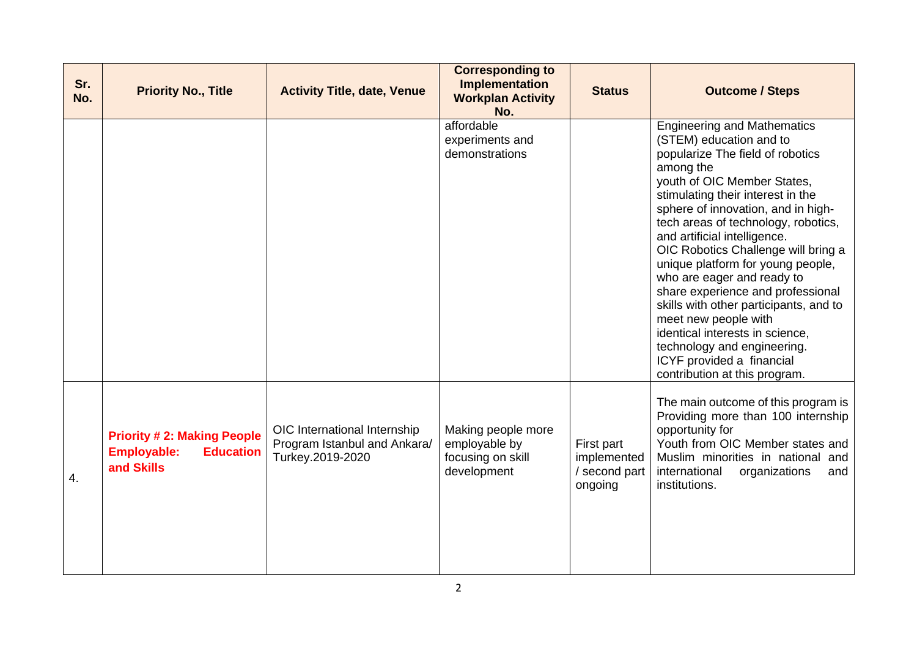| Sr.<br>No. | <b>Priority No., Title</b>                                                                | <b>Activity Title, date, Venue</b>                                               | <b>Corresponding to</b><br><b>Implementation</b><br><b>Workplan Activity</b><br>No. | <b>Status</b>                                         | <b>Outcome / Steps</b>                                                                                                                                                                                                                                                                                                                                                                                                                                                                                                                                                                                                                           |
|------------|-------------------------------------------------------------------------------------------|----------------------------------------------------------------------------------|-------------------------------------------------------------------------------------|-------------------------------------------------------|--------------------------------------------------------------------------------------------------------------------------------------------------------------------------------------------------------------------------------------------------------------------------------------------------------------------------------------------------------------------------------------------------------------------------------------------------------------------------------------------------------------------------------------------------------------------------------------------------------------------------------------------------|
|            |                                                                                           |                                                                                  | affordable<br>experiments and<br>demonstrations                                     |                                                       | <b>Engineering and Mathematics</b><br>(STEM) education and to<br>popularize The field of robotics<br>among the<br>youth of OIC Member States,<br>stimulating their interest in the<br>sphere of innovation, and in high-<br>tech areas of technology, robotics,<br>and artificial intelligence.<br>OIC Robotics Challenge will bring a<br>unique platform for young people,<br>who are eager and ready to<br>share experience and professional<br>skills with other participants, and to<br>meet new people with<br>identical interests in science,<br>technology and engineering.<br>ICYF provided a financial<br>contribution at this program. |
| 4.         | <b>Priority #2: Making People</b><br><b>Employable:</b><br><b>Education</b><br>and Skills | OIC International Internship<br>Program Istanbul and Ankara/<br>Turkey.2019-2020 | Making people more<br>employable by<br>focusing on skill<br>development             | First part<br>implemented<br>/ second part<br>ongoing | The main outcome of this program is<br>Providing more than 100 internship<br>opportunity for<br>Youth from OIC Member states and<br>Muslim minorities in national and<br>international<br>organizations<br>and<br>institutions.                                                                                                                                                                                                                                                                                                                                                                                                                  |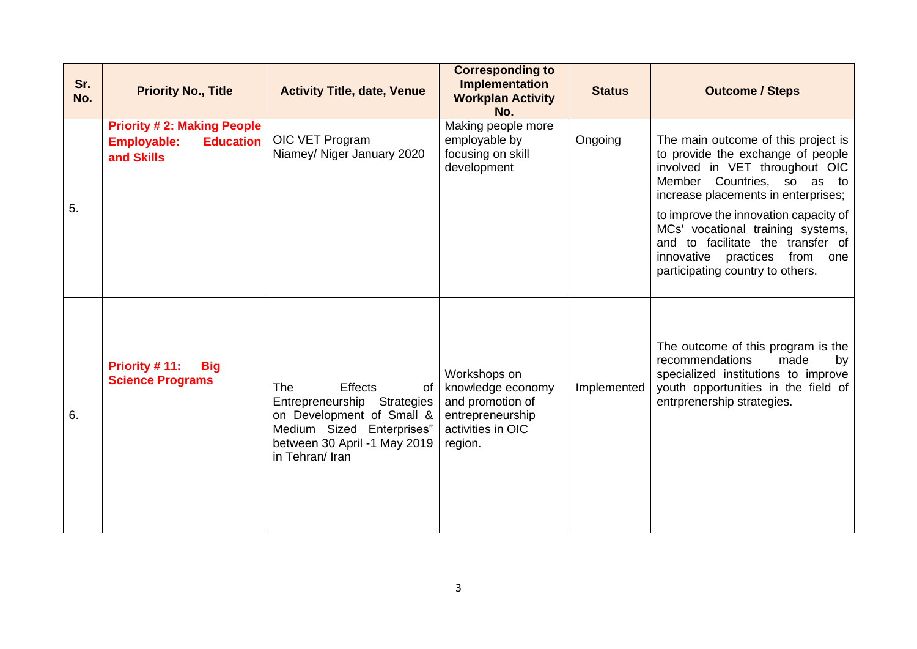| Sr.<br>No. | <b>Priority No., Title</b>                                                                | <b>Activity Title, date, Venue</b>                                                                                                                                             | <b>Corresponding to</b><br><b>Implementation</b><br><b>Workplan Activity</b><br>No.                       | <b>Status</b> | <b>Outcome / Steps</b>                                                                                                                                                                                                                                                                                                                                                        |
|------------|-------------------------------------------------------------------------------------------|--------------------------------------------------------------------------------------------------------------------------------------------------------------------------------|-----------------------------------------------------------------------------------------------------------|---------------|-------------------------------------------------------------------------------------------------------------------------------------------------------------------------------------------------------------------------------------------------------------------------------------------------------------------------------------------------------------------------------|
| 5.         | <b>Priority #2: Making People</b><br><b>Employable:</b><br><b>Education</b><br>and Skills | OIC VET Program<br>Niamey/ Niger January 2020                                                                                                                                  | Making people more<br>employable by<br>focusing on skill<br>development                                   | Ongoing       | The main outcome of this project is<br>to provide the exchange of people<br>involved in VET throughout OIC<br>Member Countries, so as to<br>increase placements in enterprises;<br>to improve the innovation capacity of<br>MCs' vocational training systems,<br>and to facilitate the transfer of<br>innovative practices<br>from<br>one<br>participating country to others. |
| 6.         | Priority #11:<br><b>Big</b><br><b>Science Programs</b>                                    | <b>Effects</b><br><b>The</b><br>of<br>Entrepreneurship Strategies<br>on Development of Small &<br>Medium Sized Enterprises"<br>between 30 April -1 May 2019<br>in Tehran/ Iran | Workshops on<br>knowledge economy<br>and promotion of<br>entrepreneurship<br>activities in OIC<br>region. | Implemented   | The outcome of this program is the<br>recommendations<br>made<br>by<br>specialized institutions to improve<br>youth opportunities in the field of<br>entrprenership strategies.                                                                                                                                                                                               |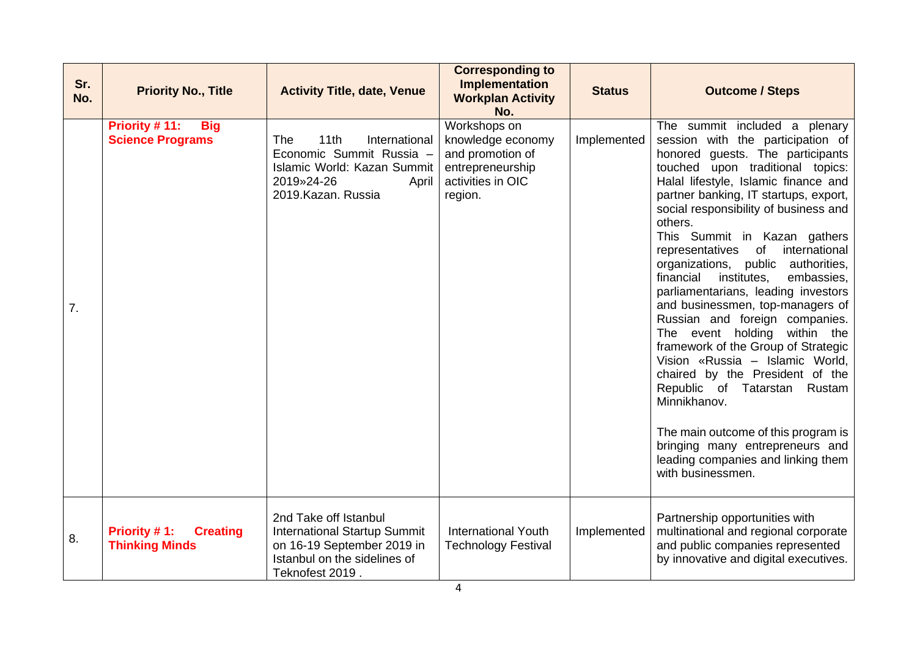| Sr.<br>No. | <b>Priority No., Title</b>                               | <b>Activity Title, date, Venue</b>                                                                                                            | <b>Corresponding to</b><br><b>Implementation</b><br><b>Workplan Activity</b><br>No.                       | <b>Status</b> | <b>Outcome / Steps</b>                                                                                                                                                                                                                                                                                                                                                                                                                                                                                                                                                                                                                                                                                                                                                                                                                                                                      |
|------------|----------------------------------------------------------|-----------------------------------------------------------------------------------------------------------------------------------------------|-----------------------------------------------------------------------------------------------------------|---------------|---------------------------------------------------------------------------------------------------------------------------------------------------------------------------------------------------------------------------------------------------------------------------------------------------------------------------------------------------------------------------------------------------------------------------------------------------------------------------------------------------------------------------------------------------------------------------------------------------------------------------------------------------------------------------------------------------------------------------------------------------------------------------------------------------------------------------------------------------------------------------------------------|
| 7.         | Priority #11:<br><b>Big</b><br><b>Science Programs</b>   | The<br>11th<br>International<br>Economic Summit Russia -<br>Islamic World: Kazan Summit<br>2019»24-26<br>April<br>2019.Kazan. Russia          | Workshops on<br>knowledge economy<br>and promotion of<br>entrepreneurship<br>activities in OIC<br>region. | Implemented   | The summit included a plenary<br>session with the participation of<br>honored guests. The participants<br>touched upon traditional topics:<br>Halal lifestyle, Islamic finance and<br>partner banking, IT startups, export,<br>social responsibility of business and<br>others.<br>This Summit in Kazan gathers<br>of<br>international<br>representatives<br>organizations,<br>public authorities,<br>financial<br>institutes,<br>embassies,<br>parliamentarians, leading investors<br>and businessmen, top-managers of<br>Russian and foreign companies.<br>The event holding within the<br>framework of the Group of Strategic<br>Vision «Russia – Islamic World,<br>chaired by the President of the<br>Republic of Tatarstan Rustam<br>Minnikhanov.<br>The main outcome of this program is<br>bringing many entrepreneurs and<br>leading companies and linking them<br>with businessmen. |
| 8.         | Priority #1:<br><b>Creating</b><br><b>Thinking Minds</b> | 2nd Take off Istanbul<br><b>International Startup Summit</b><br>on 16-19 September 2019 in<br>Istanbul on the sidelines of<br>Teknofest 2019. | <b>International Youth</b><br><b>Technology Festival</b>                                                  | Implemented   | Partnership opportunities with<br>multinational and regional corporate<br>and public companies represented<br>by innovative and digital executives.                                                                                                                                                                                                                                                                                                                                                                                                                                                                                                                                                                                                                                                                                                                                         |